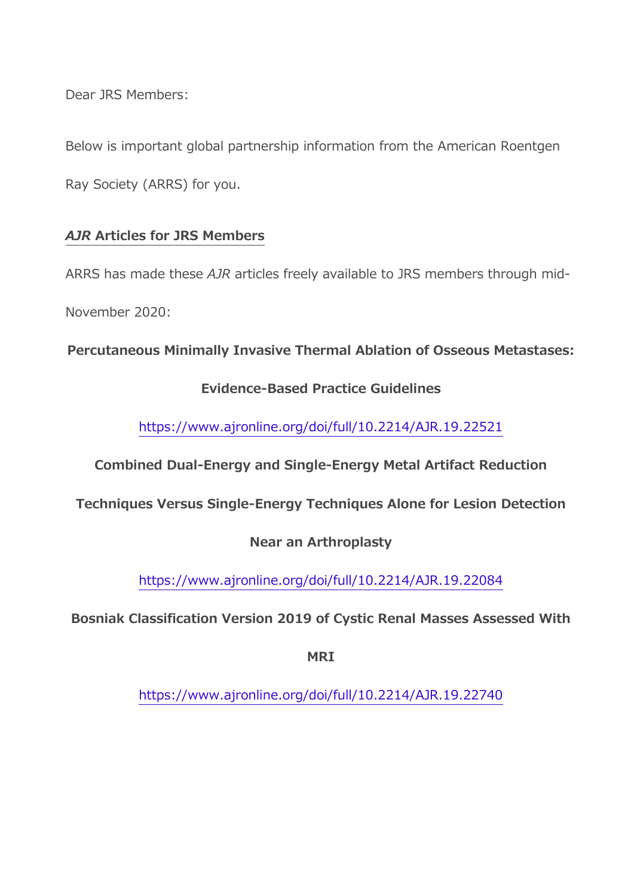Dear JRS Members:

Below is important global partnership information from the American Roentgen

Ray Society (ARRS) for you.

# *AJR* **Articles for JRS Members**

ARRS has made these *AJR* articles freely available to JRS members through mid-

November 2020:

**Percutaneous Minimally Invasive Thermal Ablation of Osseous Metastases:** 

# **Evidence-Based Practice Guidelines**

<https://www.ajronline.org/doi/full/10.2214/AJR.19.22521>

**Combined Dual-Energy and Single-Energy Metal Artifact Reduction** 

**Techniques Versus Single-Energy Techniques Alone for Lesion Detection** 

### **Near an Arthroplasty**

<https://www.ajronline.org/doi/full/10.2214/AJR.19.22084>

**Bosniak Classification Version 2019 of Cystic Renal Masses Assessed With** 

**MRI**

<https://www.ajronline.org/doi/full/10.2214/AJR.19.22740>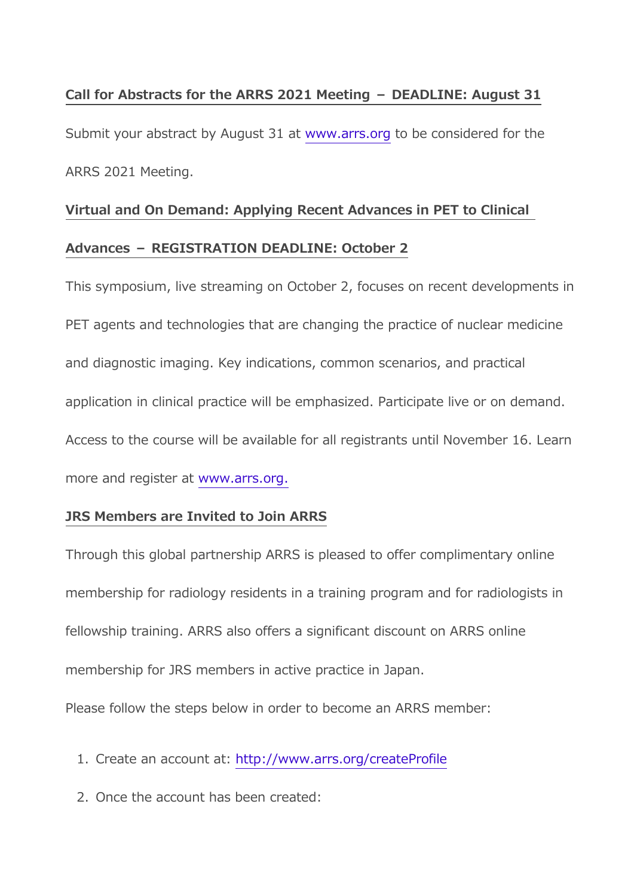### **Call for Abstracts for the ARRS 2021 Meeting – DEADLINE: August 31**

Submit your abstract by August 31 at [www.arrs.org](https://www.arrs.org/) to be considered for the ARRS 2021 Meeting.

# **Virtual and On Demand: Applying Recent Advances in PET to Clinical**

#### **Advances – REGISTRATION DEADLINE: October 2**

This symposium, live streaming on October 2, focuses on recent developments in PET agents and technologies that are changing the practice of nuclear medicine and diagnostic imaging. Key indications, common scenarios, and practical application in clinical practice will be emphasized. Participate live or on demand. Access to the course will be available for all registrants until November 16. Learn more and register at [www.arrs.org.](https://www.arrs.org/)

### **JRS Members are Invited to Join ARRS**

Through this global partnership ARRS is pleased to offer complimentary online membership for radiology residents in a training program and for radiologists in fellowship training. ARRS also offers a significant discount on ARRS online membership for JRS members in active practice in Japan.

Please follow the steps below in order to become an ARRS member:

- 1. Create an account at: <http://www.arrs.org/createProfile>
- 2. Once the account has been created: